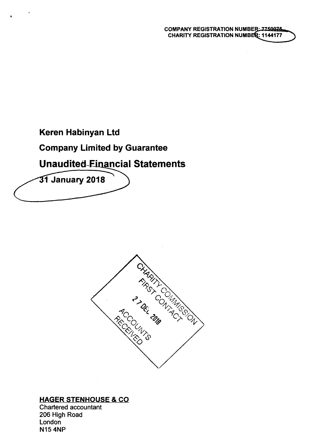# **Company Limited by Guarantee**

# **Unaudited-Einancial Statements**

31 January 2018



# HAGER STENHOUSE & CO

Chartered accountant 206 High Road London N15 4NP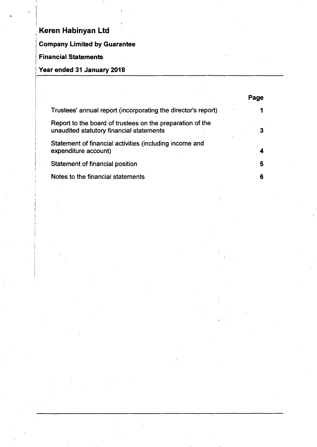# **| Company Limited by Guarantee**

### **i Financial Statements**

i

# **I Year ended 31 January 2018**

|                                                                                                       | Page |
|-------------------------------------------------------------------------------------------------------|------|
| Trustees' annual report (incorporating the director's report)                                         |      |
| Report to the board of trustees on the preparation of the<br>unaudited statutory financial statements |      |
| Statement of financial activities (including income and<br>expenditure account)                       |      |
| Statement of financial position                                                                       | 5    |
| Notes to the financial statements                                                                     | 6    |

i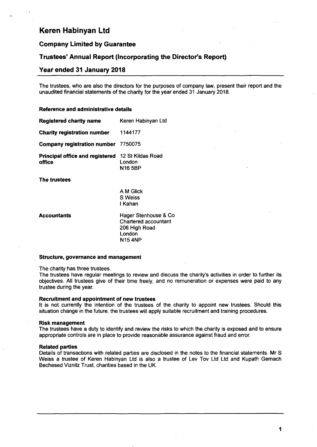### **Company Limited by Guarantee**

# **Trustees' Annual Report (Incorporating the Director's Report)**

### **Year ended 31 January 2018**

The trustees, who are also the directors for the purposes of company law, present their report and the unaudited financial statements of the charity for the year ended 31 January 2018.

#### **Reference and administrative details**

| <b>Registered charity name</b>                   | Keren Habinyan Ltd                            |
|--------------------------------------------------|-----------------------------------------------|
| <b>Charity registration number</b>               | 1144177                                       |
| Company registration number 7750075              |                                               |
| <b>Principal office and registered</b><br>office | 12 St Kildas Road<br>London<br><b>N16 5BP</b> |
| The trustees                                     |                                               |

A M Glick S Weiss I Kahan

Accountants Hager Stenhouse & Co Chartered accountant 206 High Road London N154NP

#### **Structure, governance and management**

The charity has three trustees.

The trustees have regular meetings to review and discuss the charity's activities in order to further its objectives. All trustees give of their time freely, and no remuneration or expenses were paid to any trustee during the year.

#### **Recruitment and appointment of new trustees**

It is not currently the intention of the trustees of the charity to appoint new trustees. Should this situation change in the future, the trustees will apply suitable recruitment and training procedures.

#### **Risk management**

The trustees have a duty to identify and review the risks to which the charity is exposed and to ensure appropriate controls are in place to provide reasonable assurance against fraud and error.

#### **Related parties**

Details of transactions with related parties are disclosed in the notes to the financial statements. Mr S Weiss a trustee of Keren Habinyan Ltd is also a trustee of Lev Tov Ltd Ltd and Kupath Gemach Bechesed Viznitz Trust, charities based in the UK.

**1**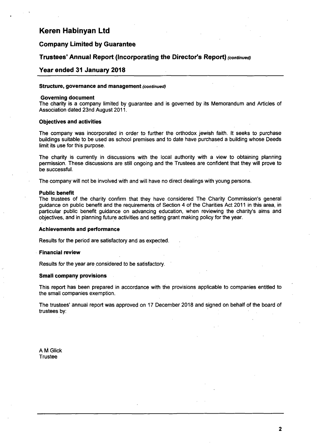### **Company Limited by Guarantee**

### **Trustees' Annual Report (Incorporating the Director's Report) (continued)**

#### **Year ended 31 January 2018**

#### **Structure, governance and management (continued)**

#### **Governing document**

The charity is a company limited by guarantee and is governed by its Memorandum and Articles of Association dated 23nd August 2011.

#### **Objectives and activities**

The company was incorporated in order to further the orthodox jewish faith. It seeks to purchase buildings suitable to be used as school premises and to date have purchased a building whose Deeds limit its use for this purpose.

The charity is currently in discussions with the local authority with a view to obtaining planning permission. These discussions are still ongoing and the Trustees are confident that they will prove to be successful.

**The company will not be involved with and will have no direct dealings with young persons.** 

#### **Public benefit**

The trustees of the charity confirm that they have considered The Charity Commission's general guidance on public benefit and the requirements of Section 4 of the Charities Act 2011 in this area, in particular public benefit guidance on advancing education, when reviewing the charity's aims and objectives, and in planning future activities and setting grant making policy for the year.

#### **Achievements and performance**

**Results for the period are satisfactory and as expected.** 

#### **Financial review**

**Results for the year are considered to be satisfactory.** 

#### **Small company provisions**

This report has been prepared in accordance with the provisions applicable to companies entitled to the small companies exemption.

The trustees' annual report was approved on 17 December 2018 and signed on behalf of the board of trustees by:

A M Glick **Trustee** 

 $\overline{\mathbf{2}}$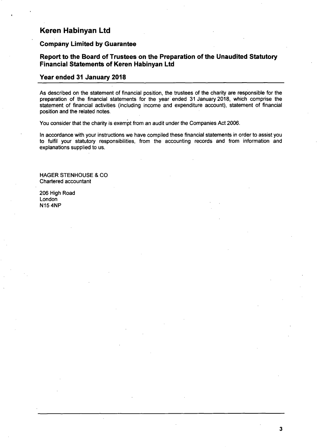### **Company Limited by Guarantee**

# **Report to the Board of Trustees on the Preparation of the Unaudited Statutory Financial Statements of Keren Habinyan Ltd**

# **Year ended 31 January 2018**

As described on the statement of financial position, the trustees of the charity are responsible for the preparation of the financial statements for the year ended 31 January 2018, which comprise the statement of financial activities (including income and expenditure account), statement of financial position and the related notes.

You consider that the charity is exempt from an audit under the Companies Act 2006.

In accordance with your instructions we have compiled these financial statements in order to assist you to fulfil your statutory responsibilities, from the accounting records and from information and explanations supplied to us.

3

HAGER STENHOUSE & CO Chartered accountant

206 High Road London N15 4NP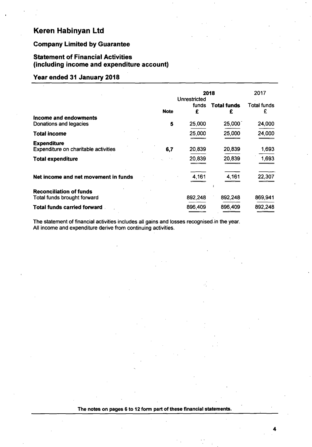# **Company Limited by Guarantee**

# **Statement of Financial Activities (including income and expenditure account)**

# **Year ended 31 January 2018**

|                                                               |             | 2018                              |                         | 2017                    |  |
|---------------------------------------------------------------|-------------|-----------------------------------|-------------------------|-------------------------|--|
|                                                               | <b>Note</b> | <b>Unrestricted</b><br>funds<br>£ | <b>Total funds</b><br>£ | <b>Total funds</b><br>£ |  |
| Income and endowments<br>Donations and legacies               | 5           | 25,000                            | 25,000                  | 24,000                  |  |
| Total income                                                  |             | 25,000                            | 25,000                  | 24,000                  |  |
| <b>Expenditure</b><br>Expenditure on charitable activities    | 6,7         | 20,839                            | 20,839                  | 1,693                   |  |
| <b>Total expenditure</b>                                      |             | 20,839                            | 20,839                  | 1,693                   |  |
| Net income and net movement in funds                          |             | 4,161                             | 4,161                   | 22,307                  |  |
| <b>Reconciliation of funds</b><br>Total funds brought forward |             | 892,248                           | 892,248                 | 869,941                 |  |
| <b>Total funds carried forward</b>                            |             | 896,409                           | 896,409                 | 892,248                 |  |

The statement of financial activities includes all gains and losses recognised, in the year. All income and expenditure derive from continuing activities.

### The notes on pages 6 to 12 form part of these financial statements.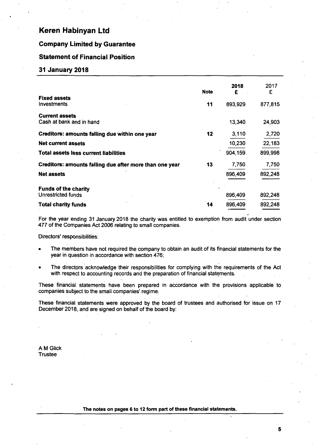## **Company Limited by Guarantee**

### **Statement of Financial Position**

#### **31 January 2018**

|                                                          | <b>Note</b> | 2018<br>£ | 2017<br>£ |
|----------------------------------------------------------|-------------|-----------|-----------|
| <b>Fixed assets</b><br>Investments                       | 11          | 893,929   | 877,815   |
| <b>Current assets</b><br>Cash at bank and in hand        |             | 13,340    | 24,903    |
| Creditors: amounts falling due within one year           | 12          | 3,110     | 2,720     |
| <b>Net current assets</b>                                |             | 10,230    | 22,183    |
| <b>Total assets less current liabilities</b>             |             | 904,159.  | 899,998   |
| Creditors: amounts falling due after more than one year  | 13          | 7,750     | 7,750     |
| <b>Net assets</b>                                        |             | 896,409   | 892,248   |
| <b>Funds of the charity</b><br><b>Unrestricted funds</b> |             | 896,409   | 892,248   |
| <b>Total charity funds</b>                               | 14          | 896,409   | 892,248   |

For the year ending 31 January 2018 the charity was entitled to exemption from audit under section 477 of the Companies Act 2006 relating to small companies.

Directors' responsibilities:

- The members have not required the company to obtain an audit of its financial statements for the year in question in accordance with section 476;
- The directors acknowledge their responsibilities for complying with the requirements of the Act with respect to accounting records and the preparation of financial statements.

These financial statements have been prepared in accordance with the provisions applicable to companies subject to the small companies' regime.

These financial statements were approved by the board of trustees and authorised for issue on 17 December 2018, and are signed on behalf of the board by:

A M Glick **Trustee**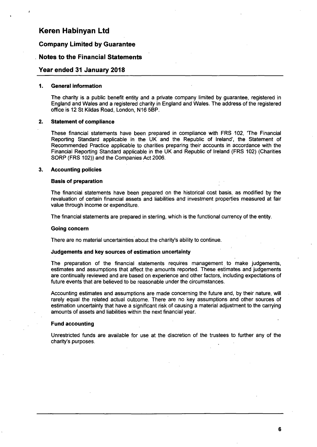# **Company Limited by Guarantee**

# **Notes to the Financial Statements**

# **Year ended 31 January 2018**

#### **1. General information**

The charity is a public benefit entity and a private company limited by guarantee, registered in England and Wales and a registered charity in England and Wales. The address of the registered office is 12 St Kildas Road, London, N16 5BP.

#### **2. Statement of compliance**

These financial statements have been prepared in compliance with FRS 102, 'The Financial Reporting Standard applicable in the UK and the Republic of Ireland', the Statement of Recommended Practice applicable to charities preparing their accounts in accordance with the Financial Reporting Standard applicable in the UK and Republic of Ireland (FRS 102) (Charities SORP (FRS 102)) and the Companies Act 2006.

#### **3. Accounting policies**

#### **Basis of preparation**

The financial statements have been prepared on the historical cost basis, as modified by the revaluation of certain financial assets and liabilities and investment properties measured at fair value through income or expenditure.

**The financial statements are prepared in sterling, which is the functional currency of the entity.** 

#### **Going concern**

**There are no material uncertainties about the charity's ability to continue.** 

#### **Judgements and key sources of estimation uncertainty**

The preparation of the financial statements requires management to make judgements, estimates and assumptions that affect the amounts reported. These estimates and judgements are continually reviewed and are based on experience and other factors, including expectations of future events that are believed to be reasonable under the circumstances.

Accounting estimates and assumptions are made concerning the future and, by their nature, will rarely equal the related actual outcome. There are no key assumptions and other sources of estimation uncertainty that have a significant risk of causing a material adjustment to the carrying amounts of assets and liabilities within the next financial year.

#### **Fund accounting**

Unrestricted funds are available for use at the discretion of the trustees to further any of the charity's purposes.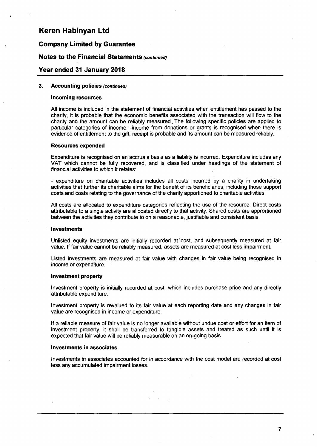### **Company Limited by Guarantee**

### Notes to the Financial Statements (continued)

### **Year ended 31 January 2018**

### **3. Accounting policies (continued)**

#### **Incoming resources**

All income is included in the statement of financial activities when entitlement has passed to the charity, it is probable that the economic benefits associated with the transaction will flow to the charity and the amount can be reliably measured.. The following specific policies are applied to particular categories of income: -income from donations or grants is recognised when there is evidence of entitlement to the gift, receipt is probable and its amount can be measured reliably.

#### **Resources expended**

Expenditure is recognised on an accruals basis as a liability is incurred. Expenditure includes any VAT which cannot be fully recovered, and is classified under headings of the statement of financial activities to which it relates:

- expenditure on charitable activities includes all costs incurred by a charity in undertaking activities that further its charitable aims for the benefit of its beneficiaries, including those support costs and costs relating to the governance of the charity apportioned to charitable activities.

All costs are allocated to expenditure categories reflecting the use of the resource. Direct costs attributable to a single activity are allocated directly to that activity. Shared costs are apprortioned between the activities they contribute to on a reasonable, justifiable and consistent basis.

#### **Investments**

Unlisted equity investments are initially recorded at cost, and subsequently measured at fair value. If fair value cannot be reliably measured, assets are measured at cost less impairment.

Listed investments are measured at fair value with changes in fair value being recognised in income or expenditure.

#### **Investment property**

Investment property is initially recorded at cost, which includes purchase price and any directly attributable expenditure.

Investment property is revalued to its fair value at each reporting date and any changes in fair value are recognised in income or expenditure.

If a reliable measure of fair value is no longer available without undue cost or effort for an item of investment property, it shall be transferred to tangible assets and treated as such until it is expected that fair value will be reliably measurable on an on-going basis.

#### **Investments in associates**

Investments in associates accounted for in accordance with the cost model are recorded at cost less any accumulated impairment losses.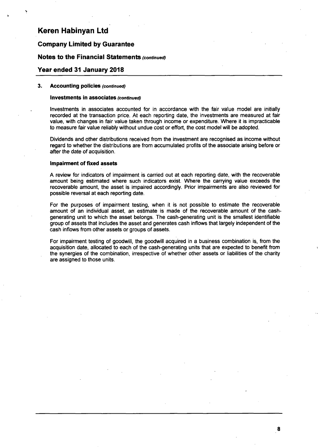## **Company Limited by Guarantee**

## Notes to the Financial Statements (continued)

#### **Year ended 31 January 2018**

#### 3. Accounting policies (continued)

#### Investments in associates (continued)

Investments in associates accounted for in accordance with the fair value model are initially recorded at the transaction price. At each reporting date, the investments are measured at fair value, with changes in fair value taken through income or expenditure. Where it is impracticable to measure fair value reliably without undue cost or effort, the cost model will be adopted.

Dividends and other distributions received from the investment are recognised as income without regard to whether the distributions are from accumulated profits of the associate arising before or after the date of acquisition.

#### **Impairment of fixed assets**

A review for indicators of impairment is carried out at each reporting date, with the recoverable amount being estimated where such indicators exist. Where the carrying value exceeds the recoverable amount, the asset is impaired accordingly. Prior impairments are also reviewed for possible reversal at each reporting date.

For the purposes of impairment testing, when it is not possible to estimate the recoverable amount of an individual asset, an estimate is made of the recoverable amount of the cashgenerating unit to which the asset belongs. The cash-generating unit is the smallest identifiable group of assets that includes the asset and generates cash inflows that largely independent of the cash inflows from other assets or groups of assets.

For impairment testing of goodwill, the goodwill acquired in a business combination is, from the acquisition date, allocated to each of the cash-generating units that are expected to benefit from the synergies of the combination, irrespective of whether other assets or liabilities of the charity are assigned to those units.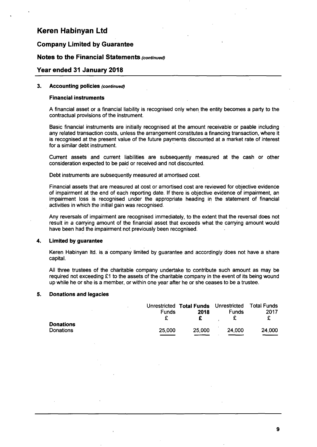# **Company Limited by Guarantee**

## Notes to the Financial Statements (continued)

### **Year ended 31 January 2018**

#### **3. Accounting policies (continued)**

#### **Financial instruments**

A financial asset or a financial liability is recognised only when the entity becomes a party to the contractual provisions of the instrument.

Basic financial instruments are initially recognised at the amount receivable or paable including any related transaction costs, unless the arrangement constitutes a financing transaction, where it is recognised at the present value of the future payments discounted at a market rate of interest for a similar debt instrument.

Current assets and current liabilities are subsequently measured at the cash or other consideration expected to be paid or received and not discounted.

Debt instruments are subsequently measured at amortised cost.

Financial assets that are measured at cost or amortised cost are reviewed for objective evidence of impairment at the end of each reporting date. If there is objective evidence of impairment, an impairment loss is recognised under the appropriate heading in the statement of financial activities in which the initial gain was recognised.

Any reversals of impairment are recognised immediately, to the extent that the reversal does not result in a carrying amount of the financial asset that exceeds what the carrying amount would have been had the impairment not previously been recognised.

#### **4. Limited by guarantee**

Keren Habinyan ltd. is a company limited by guarantee and accordingly does not have a share capital.

All three trustees of the charitable company undertake to contribute such amount as may be required not exceeding £1 to the assets of the charitable company in the event of its being wound up while he or she is a member, or within one year after he or she ceases to be a trustee.

#### **5. Donations and legacies**

|           |        | Unrestricted Total Funds Unrestricted Total Funds |              |        |
|-----------|--------|---------------------------------------------------|--------------|--------|
|           | Funds  | 2018                                              | <b>Funds</b> | 2017   |
|           |        |                                                   |              |        |
| Donations |        |                                                   |              |        |
| Donations | 25,000 | 25,000                                            | 24,000       | 24,000 |
|           |        |                                                   |              |        |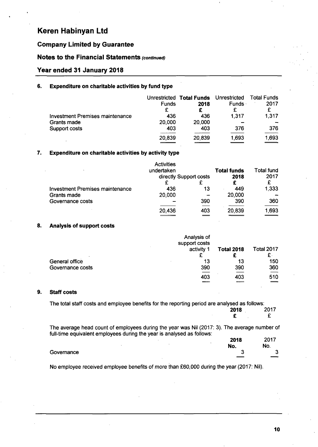# **Company Limited by Guarantee**

# Notes to the Financial Statements (continued)

### **Year ended 31 January 2018**

# **6. Expenditure on charitable activities by fund type**

|                                        | Unrestricted | <b>Total Funds</b> | Unrestricted | Total Funds |
|----------------------------------------|--------------|--------------------|--------------|-------------|
|                                        | <b>Funds</b> | 2018               | <b>Funds</b> | 2017        |
|                                        | £            |                    |              |             |
| <b>Investment Premises maintenance</b> | 436          | 436                | 1.317        | 1,317       |
| Grants made                            | 20,000       | 20,000             |              |             |
| Support costs                          | 403          | 403                | 376          | 376         |
|                                        | 20,839       | 20,839             | 1,693        | 1,693       |

#### **Expenditure on charitable activities by activity type**  7.

|                                 | Activities             |     |                    |            |      |      |
|---------------------------------|------------------------|-----|--------------------|------------|------|------|
|                                 | undertaken             |     | <b>Total funds</b> | Total fund |      |      |
|                                 | directly Support costs |     |                    |            | 2018 | 2017 |
|                                 |                        |     |                    |            |      |      |
| Investment Premises maintenance | 436                    | 13  | 449                | 1,333      |      |      |
| Grants made                     | 20,000                 |     | 20,000             |            |      |      |
| Governance costs                |                        | 390 | 390                | 360        |      |      |
|                                 | 20,436                 | 403 | 20,839             | 1,693      |      |      |

#### **Analysis of support costs**  8.

|                  | Analysis of<br>support costs |                   |                   |
|------------------|------------------------------|-------------------|-------------------|
|                  | activity 1                   | <b>Total 2018</b> | <b>Total 2017</b> |
| ٠.               |                              |                   | £.                |
| General office   | 13                           | 13                | 150               |
| Governance costs | 390                          | 390               | 360               |
|                  | 403                          | 403               | 510               |
|                  |                              | $-$               |                   |

#### **9. Staff costs**

The total staff costs and employee benefits for the reporting period are analysed as follows:

|                                                                           | 2018 | 2017 |  |
|---------------------------------------------------------------------------|------|------|--|
|                                                                           |      |      |  |
| unt of ampleuses during the year was Nil (2017: 2). The overage number of |      |      |  |

The average head count of employees during the year was Nil (2017: 3). The average number of full-time equivalent employees during the year is analysed as follows:

|            |        | 2018   | 2017<br>ΖU   |
|------------|--------|--------|--------------|
|            | $\sim$ | No.    | No.          |
| Governance |        | ◠<br>J | $\mathbf{r}$ |
|            |        |        | _            |
|            |        |        |              |

No employee received employee benefits of more than £60,000 during the year (2017: Nil).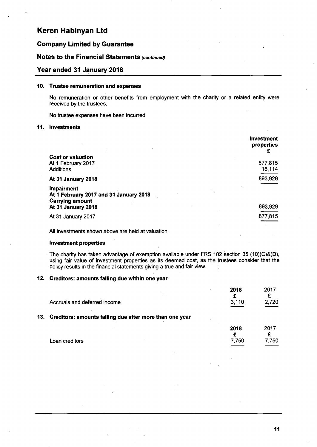# **Company Limited by Guarantee**

# Notes to the Financial Statements (continued)

# **Year ended 31 January 2018**

### **10. Trustee remuneration and expenses**

No remuneration or other benefits from employment with the charity or a related entity were received by the trustees.

No trustee expenses have been incurred

#### **11. Investments**

|                                                                                       | <b>Investment</b><br>properties |
|---------------------------------------------------------------------------------------|---------------------------------|
| <b>Cost or valuation</b>                                                              | 877,815                         |
| At 1 February 2017<br><b>Additions</b>                                                | 16,114                          |
| At 31 January 2018                                                                    | 893,929                         |
| <b>Impairment</b><br>At 1 February 2017 and 31 January 2018<br><b>Carrying amount</b> |                                 |
| At 31 January 2018                                                                    | 893,929                         |
| At 31 January 2017                                                                    | 877,815                         |

**All investments shown above are held at valuation.** 

#### **Investment properties**

The charity has taken advantage of exemption available under FRS 102 section 35 (10)(C)&(D), using fair value of investment properties as its deemed cost, as the trustees consider that the policy results in the financial statements giving a true and fair view.

## **12. Creditors: amounts falling due within one year**

|                              |  | 2018  | 2017  |
|------------------------------|--|-------|-------|
|                              |  |       |       |
| Accruals and deferred income |  | 3,110 | 2,720 |
|                              |  |       |       |

#### **13. Creditors: amounts falling due after more than one year**

|                | 2018  | 2017  |
|----------------|-------|-------|
|                |       | -     |
| Loan creditors | 7,750 | 7,750 |
|                |       | ___   |